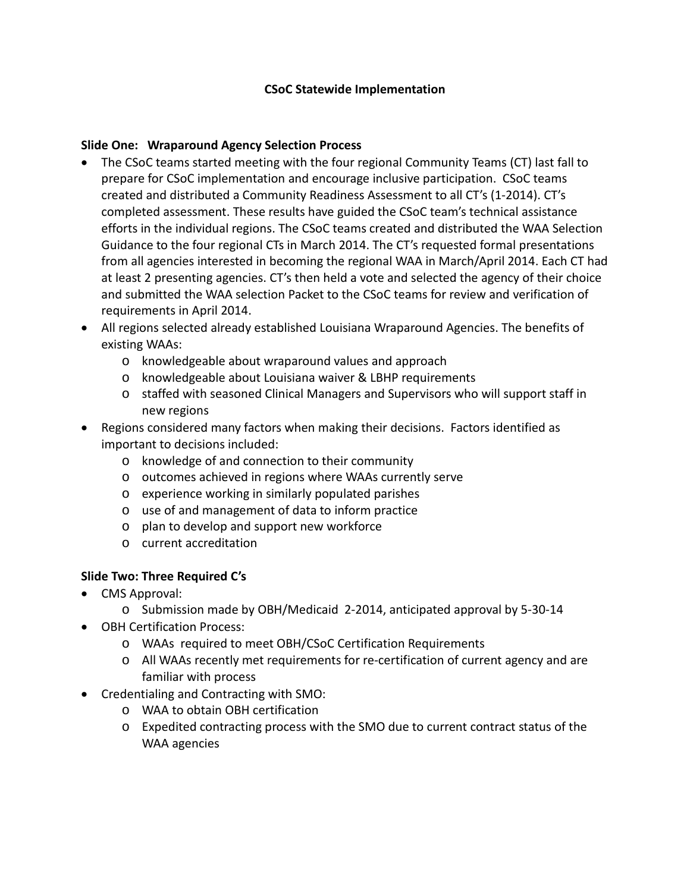## **CSoC Statewide Implementation**

## **Slide One: Wraparound Agency Selection Process**

- The CSoC teams started meeting with the four regional Community Teams (CT) last fall to prepare for CSoC implementation and encourage inclusive participation. CSoC teams created and distributed a Community Readiness Assessment to all CT's (1-2014). CT's completed assessment. These results have guided the CSoC team's technical assistance efforts in the individual regions. The CSoC teams created and distributed the WAA Selection Guidance to the four regional CTs in March 2014. The CT's requested formal presentations from all agencies interested in becoming the regional WAA in March/April 2014. Each CT had at least 2 presenting agencies. CT's then held a vote and selected the agency of their choice and submitted the WAA selection Packet to the CSoC teams for review and verification of requirements in April 2014.
- All regions selected already established Louisiana Wraparound Agencies. The benefits of existing WAAs:
	- o knowledgeable about wraparound values and approach
	- o knowledgeable about Louisiana waiver & LBHP requirements
	- o staffed with seasoned Clinical Managers and Supervisors who will support staff in new regions
- Regions considered many factors when making their decisions. Factors identified as important to decisions included:
	- o knowledge of and connection to their community
	- o outcomes achieved in regions where WAAs currently serve
	- o experience working in similarly populated parishes
	- o use of and management of data to inform practice
	- o plan to develop and support new workforce
	- o current accreditation

## **Slide Two: Three Required C's**

- CMS Approval:
	- o Submission made by OBH/Medicaid 2-2014, anticipated approval by 5-30-14
- OBH Certification Process:
	- o WAAs required to meet OBH/CSoC Certification Requirements
	- o All WAAs recently met requirements for re-certification of current agency and are familiar with process
- Credentialing and Contracting with SMO:
	- o WAA to obtain OBH certification
	- o Expedited contracting process with the SMO due to current contract status of the WAA agencies